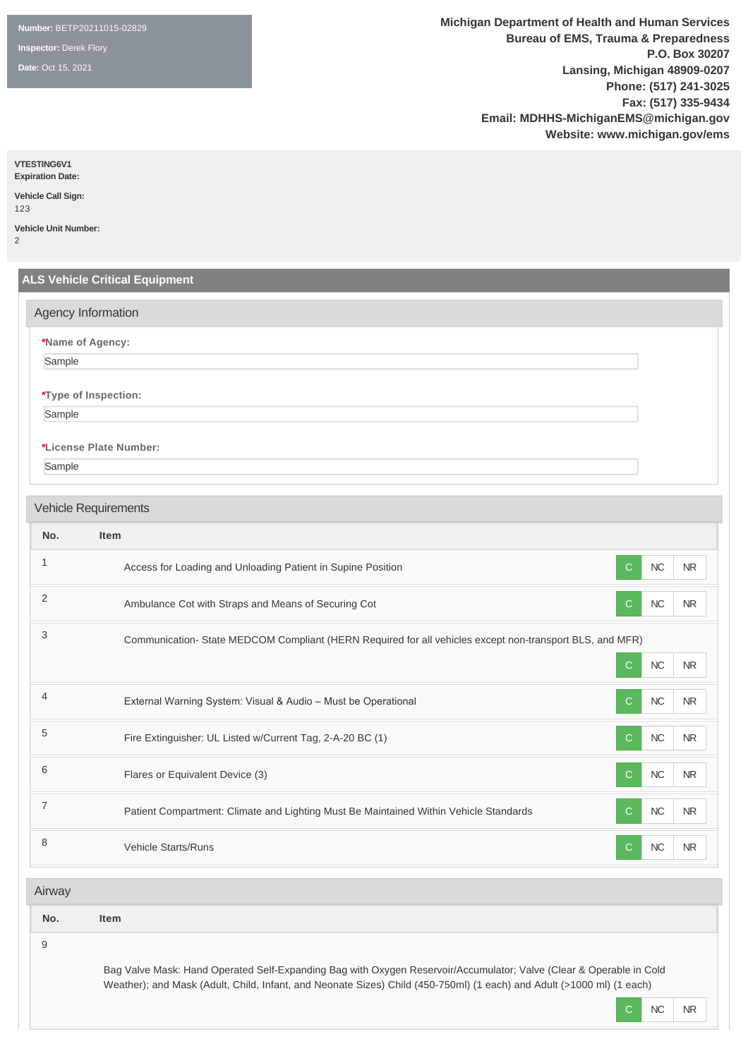**Number:** BETP20211015-02829

**Inspector:** Derek Flory

**Date:** Oct 15, 2021

**Michigan Department of Health and Human Services Bureau of EMS, Trauma & Preparedness P.O. Box 30207 Lansing, Michigan 48909-0207 Phone: (517) 241-3025 Fax: (517) 335-9434 Email: MDHHS-MichiganEMS@michigan.gov Website: www.michigan.gov/ems**

**VTESTING6V1**

**Expiration Date: Vehicle Call Sign:**  123

**Vehicle Unit Number:** 

2

|                           | Agency Information                                                                                      |                                        |
|---------------------------|---------------------------------------------------------------------------------------------------------|----------------------------------------|
|                           | *Name of Agency:                                                                                        |                                        |
| Sample                    |                                                                                                         |                                        |
|                           | *Type of Inspection:                                                                                    |                                        |
| Sample                    |                                                                                                         |                                        |
|                           | *License Plate Number:                                                                                  |                                        |
| Sample                    |                                                                                                         |                                        |
|                           |                                                                                                         |                                        |
|                           | Vehicle Requirements                                                                                    |                                        |
| No.                       | Item                                                                                                    |                                        |
| $\mathbf{1}$              | Access for Loading and Unloading Patient in Supine Position                                             | NC<br>$\mathsf{C}$<br><b>NR</b>        |
| $\sqrt{2}$                | Ambulance Cot with Straps and Means of Securing Cot                                                     | NC<br>$\mathsf{C}$<br><b>NR</b>        |
| $\ensuremath{\mathsf{3}}$ | Communication-State MEDCOM Compliant (HERN Required for all vehicles except non-transport BLS, and MFR) |                                        |
|                           |                                                                                                         | $NC$<br>$\mathsf{C}$<br><b>NR</b>      |
| $\overline{4}$            | External Warning System: Visual & Audio - Must be Operational                                           | $\mathsf{C}$<br>NC<br><b>NR</b>        |
| 5                         | Fire Extinguisher: UL Listed w/Current Tag, 2-A-20 BC (1)                                               | $\mathsf{C}$<br>NC<br><b>NR</b>        |
| $6\phantom{1}$            | Flares or Equivalent Device (3)                                                                         | <b>NC</b><br>$\mathsf{C}$<br><b>NR</b> |
| $\overline{7}$            | Patient Compartment: Climate and Lighting Must Be Maintained Within Vehicle Standards                   | NC<br>$\mathbf C$<br>$\sf NR$          |
| $\,8\,$                   | Vehicle Starts/Runs                                                                                     | <b>NC</b><br><b>NR</b><br>C            |
|                           |                                                                                                         |                                        |

9

Bag Valve Mask: Hand Operated Self-Expanding Bag with Oxygen Reservoir/Accumulator; Valve (Clear & Operable in Cold Weather); and Mask (Adult, Child, Infant, and Neonate Sizes) Child (450-750ml) (1 each) and Adult (>1000 ml) (1 each)

C NC NR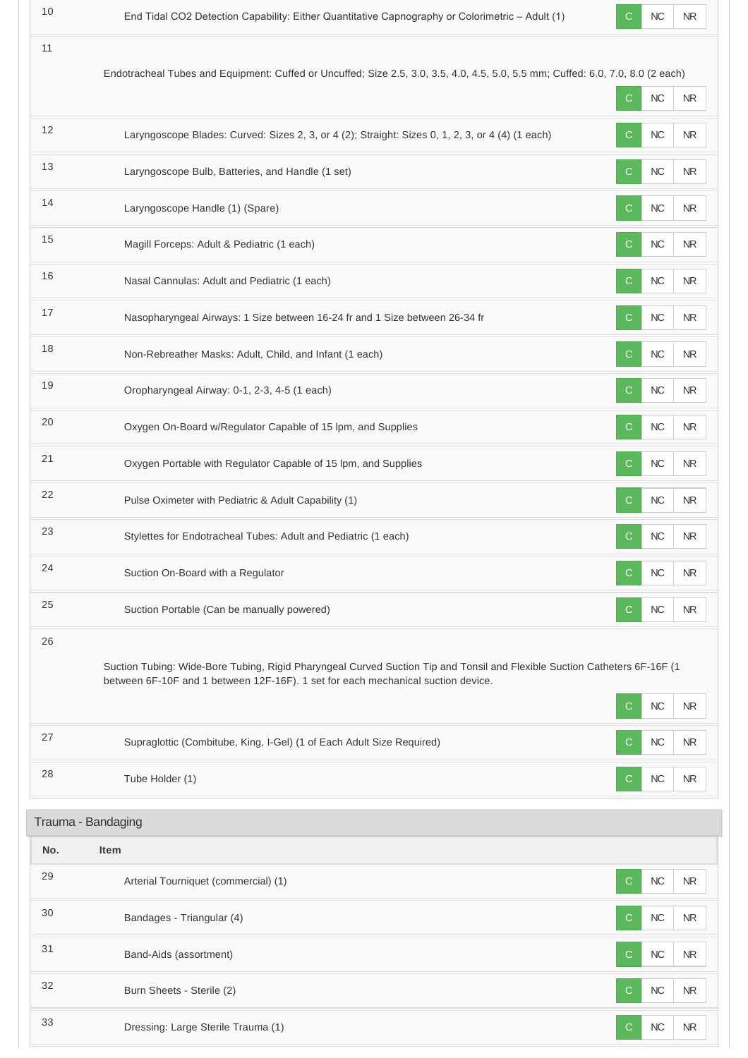|     | Endotracheal Tubes and Equipment: Cuffed or Uncuffed; Size 2.5, 3.0, 3.5, 4.0, 4.5, 5.0, 5.5 mm; Cuffed: 6.0, 7.0, 8.0 (2 each)                                                                               |              |            |            |
|-----|---------------------------------------------------------------------------------------------------------------------------------------------------------------------------------------------------------------|--------------|------------|------------|
|     |                                                                                                                                                                                                               | $\mathsf{C}$ | NC         | <b>NR</b>  |
| 12  | Laryngoscope Blades: Curved: Sizes 2, 3, or 4 (2); Straight: Sizes 0, 1, 2, 3, or 4 (4) (1 each)                                                                                                              | С            | NC         | <b>NR</b>  |
| 13  | Laryngoscope Bulb, Batteries, and Handle (1 set)                                                                                                                                                              | C            | $NC$       | <b>NR</b>  |
| 14  | Laryngoscope Handle (1) (Spare)                                                                                                                                                                               | $\mathsf{C}$ | $NC$       | <b>NR</b>  |
| 15  | Magill Forceps: Adult & Pediatric (1 each)                                                                                                                                                                    | C            | NC         | NR.        |
| 16  | Nasal Cannulas: Adult and Pediatric (1 each)                                                                                                                                                                  | C            | NC         | $\sf NR$   |
| 17  | Nasopharyngeal Airways: 1 Size between 16-24 fr and 1 Size between 26-34 fr                                                                                                                                   | $\mathsf{C}$ | NC         | <b>NR</b>  |
| 18  | Non-Rebreather Masks: Adult, Child, and Infant (1 each)                                                                                                                                                       | C            | NC         | <b>NR</b>  |
| 19  | Oropharyngeal Airway: 0-1, 2-3, 4-5 (1 each)                                                                                                                                                                  | C.           | ${\sf NC}$ | <b>NR</b>  |
| 20  | Oxygen On-Board w/Regulator Capable of 15 lpm, and Supplies                                                                                                                                                   | C            | NC         | <b>NR</b>  |
| 21  | Oxygen Portable with Regulator Capable of 15 lpm, and Supplies                                                                                                                                                | $\mathsf{C}$ | NC         | <b>NR</b>  |
| 22  | Pulse Oximeter with Pediatric & Adult Capability (1)                                                                                                                                                          | C            | NC         | <b>NR</b>  |
| 23  | Stylettes for Endotracheal Tubes: Adult and Pediatric (1 each)                                                                                                                                                | $\mathsf{C}$ | NC         | <b>NR</b>  |
| 24  | Suction On-Board with a Regulator                                                                                                                                                                             | $\mathsf{C}$ | <b>NC</b>  | <b>NR</b>  |
| 25  | Suction Portable (Can be manually powered)                                                                                                                                                                    | С            | NC         | NR         |
| 26  | Suction Tubing: Wide-Bore Tubing, Rigid Pharyngeal Curved Suction Tip and Tonsil and Flexible Suction Catheters 6F-16F (1<br>between 6F-10F and 1 between 12F-16F). 1 set for each mechanical suction device. | C            | $NC$       | <b>NR</b>  |
| 27  | Supraglottic (Combitube, King, I-Gel) (1 of Each Adult Size Required)                                                                                                                                         | С            | NC         | <b>NR</b>  |
| 28  | Tube Holder (1)                                                                                                                                                                                               | C            | <b>NC</b>  | NR.        |
|     | Trauma - Bandaging                                                                                                                                                                                            |              |            |            |
| No. | <b>Item</b>                                                                                                                                                                                                   |              |            |            |
| 29  | Arterial Tourniquet (commercial) (1)                                                                                                                                                                          | C            | <b>NC</b>  | <b>NR</b>  |
| 30  | Bandages - Triangular (4)                                                                                                                                                                                     | С            | NC         | <b>NR</b>  |
| 31  | Band-Aids (assortment)                                                                                                                                                                                        | C            | $NC$       | <b>NR</b>  |
| 32  | Burn Sheets - Sterile (2)                                                                                                                                                                                     | С            | NC         | <b>NR</b>  |
| 33  | Dressing: Large Sterile Trauma (1)                                                                                                                                                                            | C.           | NC         | ${\sf NR}$ |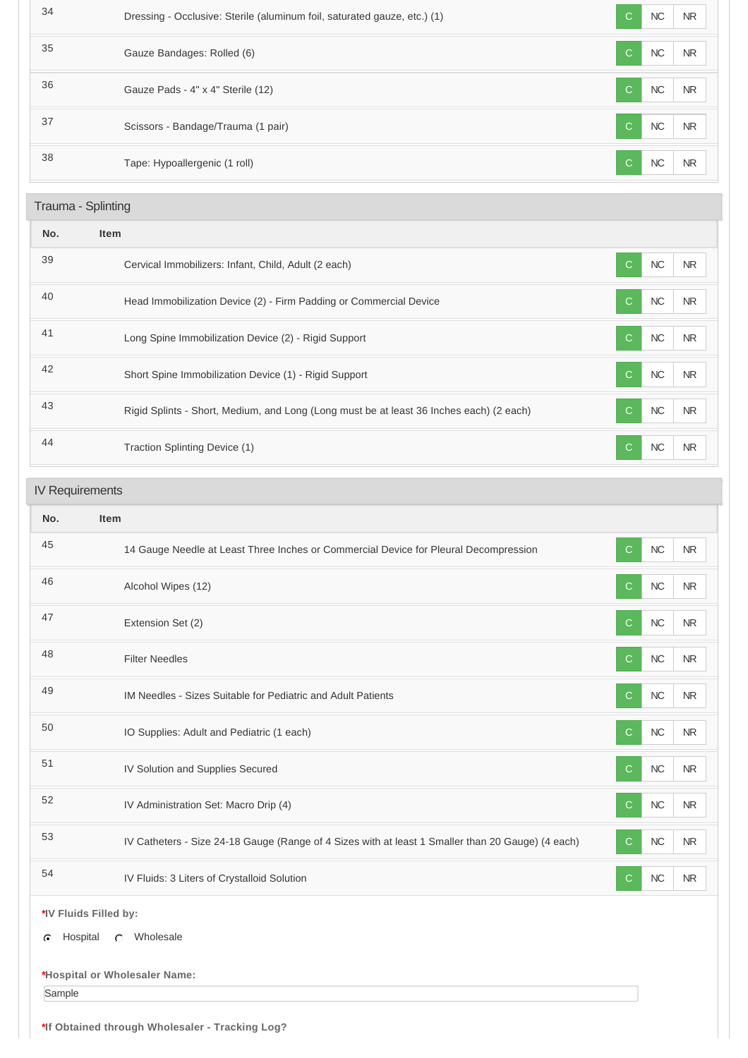| 34                 | Dressing - Occlusive: Sterile (aluminum foil, saturated gauze, etc.) (1)                | NC<br>C.                   | N <sub>R</sub> |
|--------------------|-----------------------------------------------------------------------------------------|----------------------------|----------------|
| 35                 | Gauze Bandages: Rolled (6)                                                              | NC<br>$\mathsf{C}$         | N <sub>R</sub> |
| 36                 | Gauze Pads - 4" x 4" Sterile (12)                                                       | NC<br>C                    | N <sub>R</sub> |
| 37                 | Scissors - Bandage/Trauma (1 pair)                                                      | <b>NC</b><br>C             | <b>NR</b>      |
| 38                 | Tape: Hypoallergenic (1 roll)                                                           | NC<br>C                    | <b>NR</b>      |
| Trauma - Splinting |                                                                                         |                            |                |
|                    |                                                                                         |                            |                |
| No.                | <b>Item</b>                                                                             |                            |                |
| 39                 | Cervical Immobilizers: Infant, Child, Adult (2 each)                                    | <b>NC</b><br>$\mathcal{C}$ | N <sub>R</sub> |
| 40                 | Head Immobilization Device (2) - Firm Padding or Commercial Device                      | NC<br>$\mathcal{C}$        | <b>NR</b>      |
| 41                 | Long Spine Immobilization Device (2) - Rigid Support                                    | NC<br>$\mathsf{C}$         | N <sub>R</sub> |
| 42                 | Short Spine Immobilization Device (1) - Rigid Support                                   | NC<br>$\mathsf{C}$         | N <sub>R</sub> |
| 43                 | Rigid Splints - Short, Medium, and Long (Long must be at least 36 Inches each) (2 each) | <b>NC</b><br>$\mathsf{C}$  | <b>NR</b>      |

# IV Requirements

| No.                                             | Item                                                                                              |                                         |  |  |
|-------------------------------------------------|---------------------------------------------------------------------------------------------------|-----------------------------------------|--|--|
| 45                                              | 14 Gauge Needle at Least Three Inches or Commercial Device for Pleural Decompression              | NC<br>$\mathsf{C}$<br><b>NR</b>         |  |  |
| 46                                              | Alcohol Wipes (12)                                                                                | ${\sf NC}$<br><b>NR</b><br>C            |  |  |
| 47                                              | Extension Set (2)                                                                                 | ${\sf NC}$<br>$\mathsf{C}$<br><b>NR</b> |  |  |
| 48                                              | <b>Filter Needles</b>                                                                             | ${\sf NC}$<br><b>NR</b><br>C            |  |  |
| 49                                              | IM Needles - Sizes Suitable for Pediatric and Adult Patients                                      | NC<br><b>NR</b><br>C                    |  |  |
| 50                                              | IO Supplies: Adult and Pediatric (1 each)                                                         | NC<br><b>NR</b><br>C                    |  |  |
| 51                                              | IV Solution and Supplies Secured                                                                  | NC<br>$\mathsf{C}$<br><b>NR</b>         |  |  |
| 52                                              | IV Administration Set: Macro Drip (4)                                                             | NC<br>${\sf NR}$<br>$\mathsf{C}$        |  |  |
| 53                                              | IV Catheters - Size 24-18 Gauge (Range of 4 Sizes with at least 1 Smaller than 20 Gauge) (4 each) | NC<br><b>NR</b><br>$\mathsf{C}$         |  |  |
| 54                                              | IV Fluids: 3 Liters of Crystalloid Solution                                                       | ${\sf NC}$<br><b>NR</b><br>$\mathsf{C}$ |  |  |
| *IV Fluids Filled by:<br>a Heepital a Wholesale |                                                                                                   |                                         |  |  |

G Hospital C Wholesale

# **\*Hospital or Wholesaler Name:**

Sample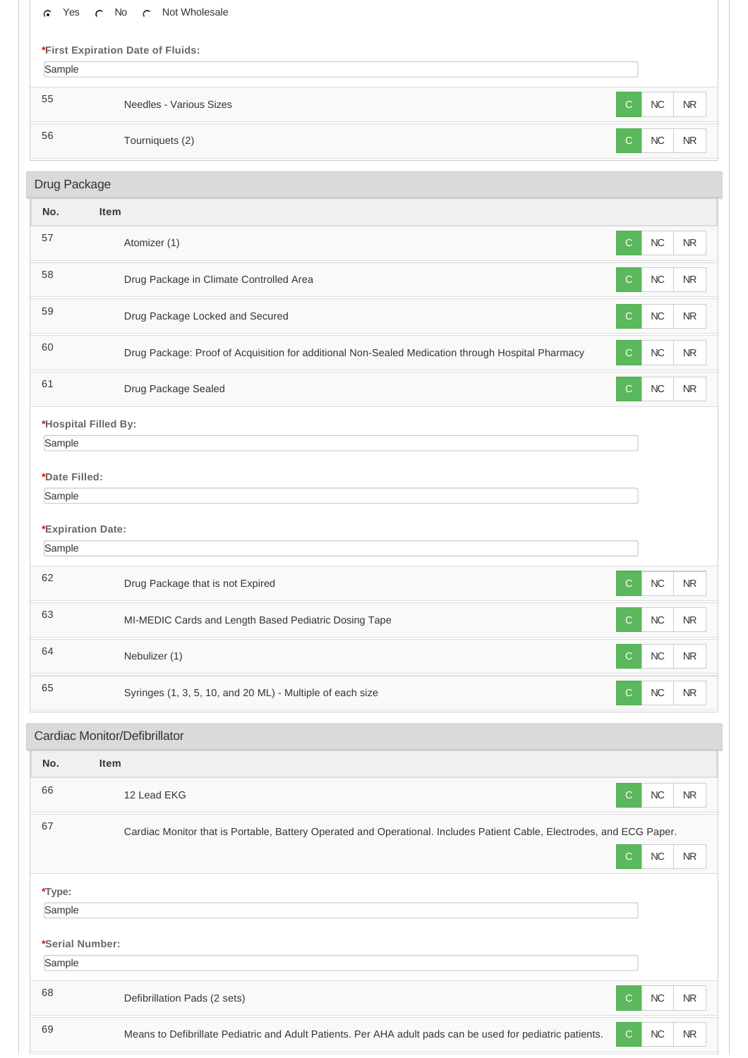| Yes<br>$\bigcap$<br>C         | C Not Wholesale<br>No                                                                                                       |           |            |  |
|-------------------------------|-----------------------------------------------------------------------------------------------------------------------------|-----------|------------|--|
|                               | *First Expiration Date of Fluids:                                                                                           |           |            |  |
| Sample                        |                                                                                                                             |           |            |  |
| 55                            | Needles - Various Sizes<br>C                                                                                                | NC        | <b>NR</b>  |  |
| 56                            | Tourniquets (2)<br>C.                                                                                                       | NC        | <b>NR</b>  |  |
| Drug Package                  |                                                                                                                             |           |            |  |
| No.<br><b>Item</b>            |                                                                                                                             |           |            |  |
| 57                            | Atomizer (1)<br>C                                                                                                           | NC        | <b>NR</b>  |  |
| 58                            | Drug Package in Climate Controlled Area<br>C                                                                                | NC        | <b>NR</b>  |  |
| 59                            | Drug Package Locked and Secured<br>$\mathsf{C}$                                                                             | <b>NC</b> | <b>NR</b>  |  |
| 60                            | Drug Package: Proof of Acquisition for additional Non-Sealed Medication through Hospital Pharmacy<br>C                      | NC        | <b>NR</b>  |  |
| 61                            | Drug Package Sealed<br>$\mathbf C$                                                                                          | NC        | ${\sf NR}$ |  |
| *Hospital Filled By:          |                                                                                                                             |           |            |  |
| Sample                        |                                                                                                                             |           |            |  |
| *Date Filled:                 |                                                                                                                             |           |            |  |
| Sample                        |                                                                                                                             |           |            |  |
| *Expiration Date:             |                                                                                                                             |           |            |  |
| Sample                        |                                                                                                                             |           |            |  |
| 62                            | Drug Package that is not Expired<br>C                                                                                       | NC        | <b>NR</b>  |  |
| 63                            | MI-MEDIC Cards and Length Based Pediatric Dosing Tape<br>C                                                                  | NC        | $\sf NR$   |  |
| 64                            | Nebulizer (1)<br>C                                                                                                          | <b>NC</b> | $\sf NR$   |  |
| 65                            | Syringes (1, 3, 5, 10, and 20 ML) - Multiple of each size<br>$\mathbf C$                                                    | $NC$      | <b>NR</b>  |  |
| Cardiac Monitor/Defibrillator |                                                                                                                             |           |            |  |
| No.<br>Item                   |                                                                                                                             |           |            |  |
| 66                            | 12 Lead EKG<br>C                                                                                                            | NC        | <b>NR</b>  |  |
| 67                            | Cardiac Monitor that is Portable, Battery Operated and Operational. Includes Patient Cable, Electrodes, and ECG Paper.<br>C | NC        | <b>NR</b>  |  |
| *Type:                        |                                                                                                                             |           |            |  |
| Sample                        |                                                                                                                             |           |            |  |
| *Serial Number:               |                                                                                                                             |           |            |  |
| Sample                        |                                                                                                                             |           |            |  |
| 68                            | Defibrillation Pads (2 sets)<br>$\mathsf{C}$                                                                                | NC        | $\sf NR$   |  |
| 69                            | Means to Defibrillate Pediatric and Adult Patients. Per AHA adult pads can be used for pediatric patients.<br>$\mathsf{C}$  | $\sf NC$  | ${\sf NR}$ |  |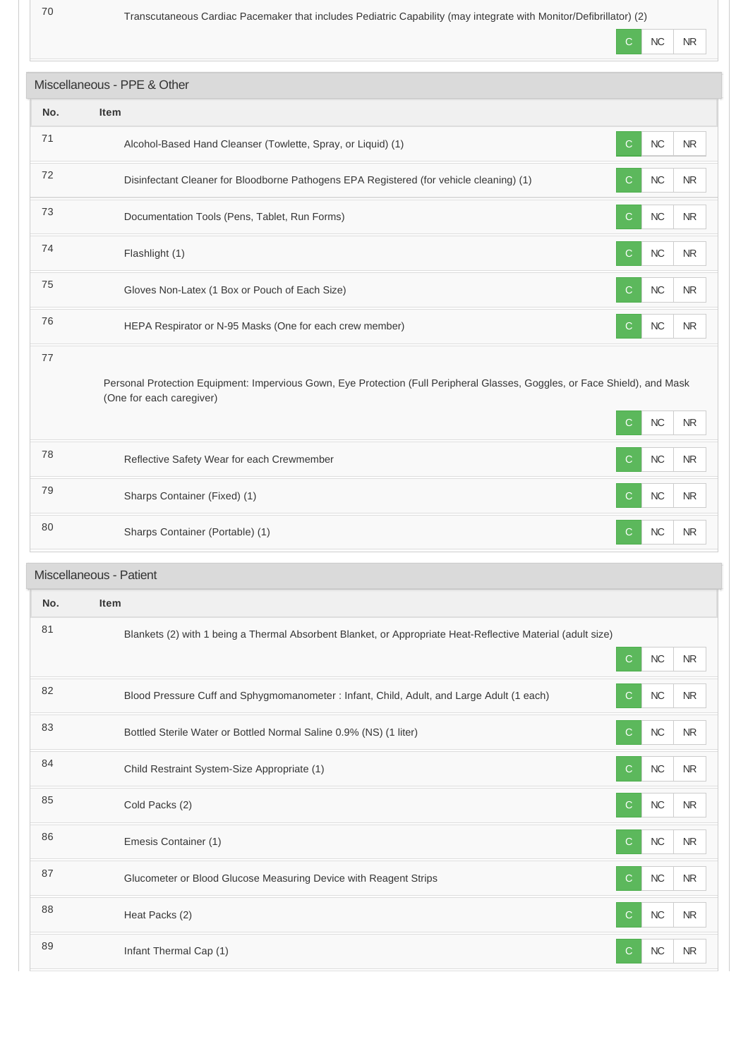Transcutaneous Cardiac Pacemaker that includes Pediatric Capability (may integrate with Monitor/Defibrillator) (2)

÷.

T

÷

|     |                                                                                                                                                         | C<br><b>NC</b><br><b>NR</b>              |
|-----|---------------------------------------------------------------------------------------------------------------------------------------------------------|------------------------------------------|
|     | Miscellaneous - PPE & Other                                                                                                                             |                                          |
| No. | Item                                                                                                                                                    |                                          |
| 71  | Alcohol-Based Hand Cleanser (Towlette, Spray, or Liquid) (1)                                                                                            | NC<br>$\mathsf{C}$<br><b>NR</b>          |
| 72  | Disinfectant Cleaner for Bloodborne Pathogens EPA Registered (for vehicle cleaning) (1)                                                                 | $NC$<br>$\mathsf{C}$<br><b>NR</b>        |
| 73  | Documentation Tools (Pens, Tablet, Run Forms)                                                                                                           | NC<br><b>NR</b><br><sub>C</sub>          |
| 74  | Flashlight (1)                                                                                                                                          | $\mathbf C$<br>NC<br><b>NR</b>           |
| 75  | Gloves Non-Latex (1 Box or Pouch of Each Size)                                                                                                          | $\mathbf C$<br>NC<br><b>NR</b>           |
| 76  | HEPA Respirator or N-95 Masks (One for each crew member)                                                                                                | NC<br>$\mathsf{C}$<br><b>NR</b>          |
| 77  | Personal Protection Equipment: Impervious Gown, Eye Protection (Full Peripheral Glasses, Goggles, or Face Shield), and Mask<br>(One for each caregiver) | NC<br>C<br><b>NR</b>                     |
| 78  | Reflective Safety Wear for each Crewmember                                                                                                              | $NC$<br>$\mathsf{C}$<br>${\sf NR}$       |
| 79  | Sharps Container (Fixed) (1)                                                                                                                            | $NC$<br><sub>C</sub><br><b>NR</b>        |
| 80  | Sharps Container (Portable) (1)                                                                                                                         | $\mathsf{C}$<br>NC<br><b>NR</b>          |
|     | Miscellaneous - Patient                                                                                                                                 |                                          |
| No. | ltem                                                                                                                                                    |                                          |
| 81  | Blankets (2) with 1 being a Thermal Absorbent Blanket, or Appropriate Heat-Reflective Material (adult size)                                             | $\mathbf C$<br>$NC$<br>${\sf NR}$        |
| 82  | Blood Pressure Cuff and Sphygmomanometer : Infant, Child, Adult, and Large Adult (1 each)                                                               | NC<br>${\sf NR}$<br><sub>C</sub>         |
| 83  | Bottled Sterile Water or Bottled Normal Saline 0.9% (NS) (1 liter)                                                                                      | $NC$<br>$\mathsf{C}$<br>${\sf NR}$       |
| 84  | Child Restraint System-Size Appropriate (1)                                                                                                             | ${\sf NC}$<br>$\mathsf{C}$<br>${\sf NR}$ |
| 85  | Cold Packs (2)                                                                                                                                          | $NC$<br>$\mathsf{C}$<br><b>NR</b>        |
| 86  | Emesis Container (1)                                                                                                                                    | ${\sf NC}$<br>NR<br>C                    |
| 87  | Glucometer or Blood Glucose Measuring Device with Reagent Strips                                                                                        | $\mathsf{C}$<br>${\sf NC}$<br><b>NR</b>  |
| 88  | Heat Packs (2)                                                                                                                                          | $NC$<br>$\mathsf{C}$<br>${\sf NR}$       |
| 89  | Infant Thermal Cap (1)                                                                                                                                  | ${\sf NC}$<br>${\sf NR}$<br>C.           |
|     |                                                                                                                                                         |                                          |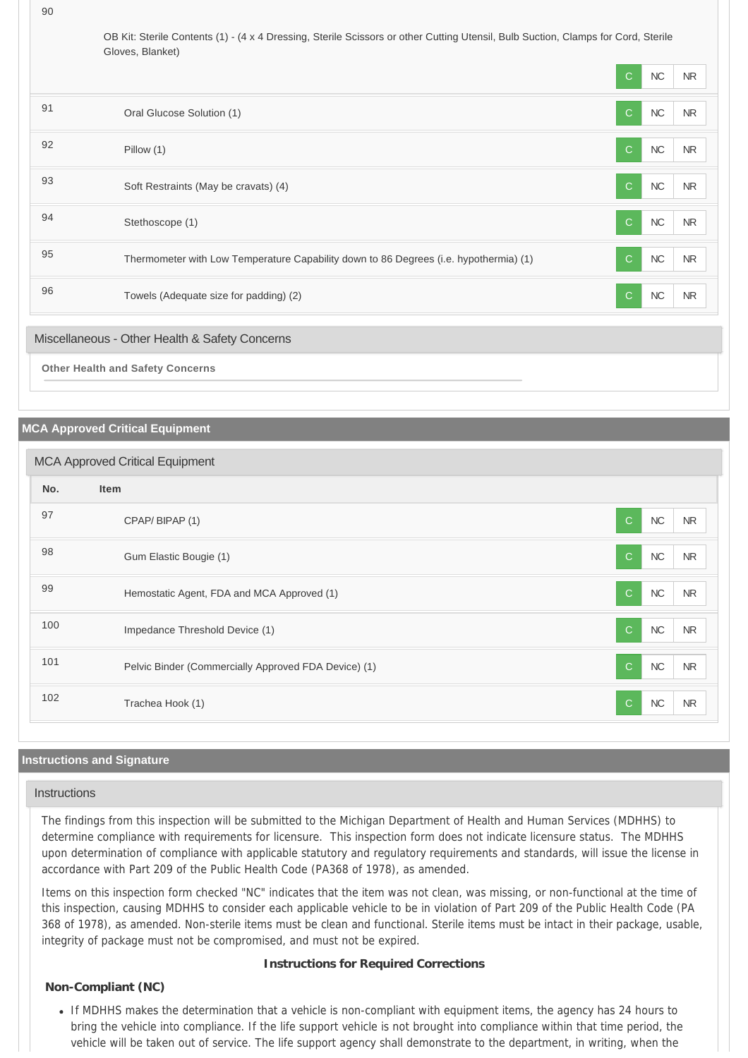OB Kit: Sterile Contents (1) - (4 x 4 Dressing, Sterile Scissors or other Cutting Utensil, Bulb Suction, Clamps for Cord, Sterile Gloves, Blanket)

|                                                |                                                                                       | $\mathsf{C}$ | NC         | N <sub>R</sub> |
|------------------------------------------------|---------------------------------------------------------------------------------------|--------------|------------|----------------|
| 91                                             | Oral Glucose Solution (1)                                                             | $\mathsf{C}$ | NC         | NR             |
| 92                                             | Pillow (1)                                                                            | $\mathsf{C}$ | ${\sf NC}$ | NR             |
| 93                                             | Soft Restraints (May be cravats) (4)                                                  | $\mathbf C$  | <b>NC</b>  | NR             |
| 94                                             | Stethoscope (1)                                                                       | $\mathsf{C}$ | ${\sf NC}$ | NR             |
| 95                                             | Thermometer with Low Temperature Capability down to 86 Degrees (i.e. hypothermia) (1) | $\mathsf{C}$ | ${\sf NC}$ | NR             |
| 96                                             | Towels (Adequate size for padding) (2)                                                | $\mathsf{C}$ | $NC$       | NR             |
| Miscellaneous - Other Health & Safety Concerns |                                                                                       |              |            |                |
| <b>Other Health and Safety Concerns</b>        |                                                                                       |              |            |                |

#### **MCA Approved Critical Equipment**

| <b>MCA Approved Critical Equipment</b> |                                                      |                                  |  |
|----------------------------------------|------------------------------------------------------|----------------------------------|--|
| No.                                    | <b>Item</b>                                          |                                  |  |
| 97                                     | CPAP/BIPAP (1)                                       | NC<br>$\mathsf{C}$<br><b>NR</b>  |  |
| 98                                     | Gum Elastic Bougie (1)                               | NC<br>$\mathsf{C}$<br><b>NR</b>  |  |
| 99                                     | Hemostatic Agent, FDA and MCA Approved (1)           | NC<br>$\mathsf{C}$<br><b>NR</b>  |  |
| 100                                    | Impedance Threshold Device (1)                       | NC<br>$\mathsf{C}$<br><b>NR</b>  |  |
| 101                                    | Pelvic Binder (Commercially Approved FDA Device) (1) | NC<br>$\mathbf C$<br><b>NR</b>   |  |
| 102                                    | Trachea Hook (1)                                     | NC<br>$\mathcal{C}$<br><b>NR</b> |  |

# **Instructions and Signature**

#### **Instructions**

The findings from this inspection will be submitted to the Michigan Department of Health and Human Services (MDHHS) to determine compliance with requirements for licensure. This inspection form does not indicate licensure status. The MDHHS upon determination of compliance with applicable statutory and regulatory requirements and standards, will issue the license in accordance with Part 209 of the Public Health Code (PA368 of 1978), as amended.

Items on this inspection form checked "NC" indicates that the item was not clean, was missing, or non-functional at the time of this inspection, causing MDHHS to consider each applicable vehicle to be in violation of Part 209 of the Public Health Code (PA 368 of 1978), as amended. Non-sterile items must be clean and functional. Sterile items must be intact in their package, usable, integrity of package must not be compromised, and must not be expired.

#### **Instructions for Required Corrections**

## **Non-Compliant (NC)**

If MDHHS makes the determination that a vehicle is non-compliant with equipment items, the agency has 24 hours to bring the vehicle into compliance. If the life support vehicle is not brought into compliance within that time period, the vehicle will be taken out of service. The life support agency shall demonstrate to the department, in writing, when the

90